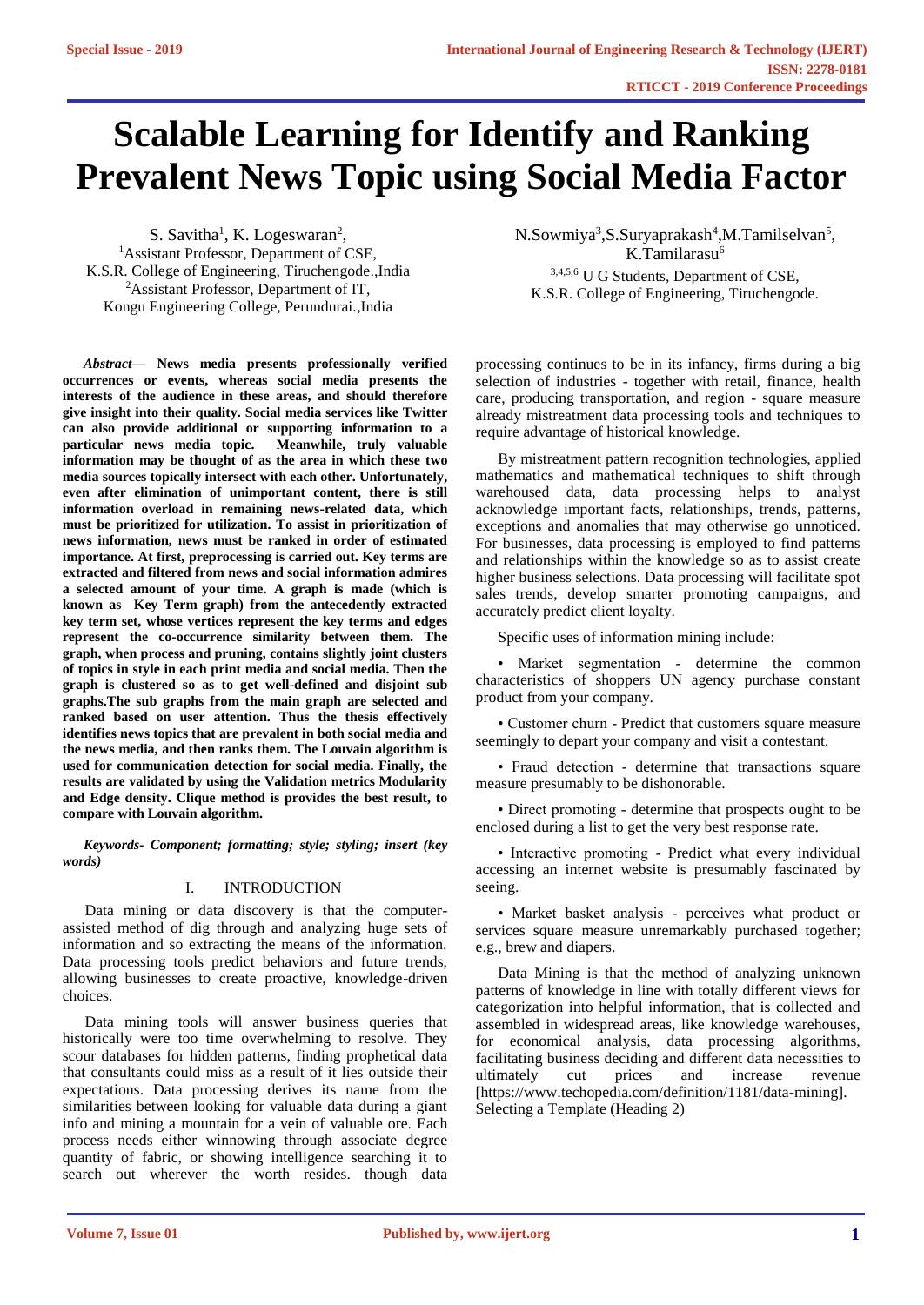# **Scalable Learning for Identify and Ranking Prevalent News Topic using Social Media Factor**

S. Savitha<sup>1</sup>, K. Logeswaran<sup>2</sup>, <sup>1</sup>Assistant Professor, Department of CSE, K.S.R. College of Engineering, Tiruchengode.,India <sup>2</sup>Assistant Professor, Department of IT, Kongu Engineering College, Perundurai.,India

*Abstract***— News media presents professionally verified occurrences or events, whereas social media presents the interests of the audience in these areas, and should therefore give insight into their quality. Social media services like Twitter can also provide additional or supporting information to a particular news media topic. Meanwhile, truly valuable information may be thought of as the area in which these two media sources topically intersect with each other. Unfortunately, even after elimination of unimportant content, there is still information overload in remaining news-related data, which must be prioritized for utilization. To assist in prioritization of news information, news must be ranked in order of estimated importance. At first, preprocessing is carried out. Key terms are extracted and filtered from news and social information admires a selected amount of your time. A graph is made (which is known as Key Term graph) from the antecedently extracted key term set, whose vertices represent the key terms and edges represent the co-occurrence similarity between them. The graph, when process and pruning, contains slightly joint clusters of topics in style in each print media and social media. Then the graph is clustered so as to get well-defined and disjoint sub graphs.The sub graphs from the main graph are selected and ranked based on user attention. Thus the thesis effectively identifies news topics that are prevalent in both social media and the news media, and then ranks them. The Louvain algorithm is used for communication detection for social media. Finally, the results are validated by using the Validation metrics Modularity and Edge density. Clique method is provides the best result, to compare with Louvain algorithm.**

*Keywords- Component; formatting; style; styling; insert (key words)*

#### I. INTRODUCTION

Data mining or data discovery is that the computerassisted method of dig through and analyzing huge sets of information and so extracting the means of the information. Data processing tools predict behaviors and future trends, allowing businesses to create proactive, knowledge-driven choices.

Data mining tools will answer business queries that historically were too time overwhelming to resolve. They scour databases for hidden patterns, finding prophetical data that consultants could miss as a result of it lies outside their expectations. Data processing derives its name from the similarities between looking for valuable data during a giant info and mining a mountain for a vein of valuable ore. Each process needs either winnowing through associate degree quantity of fabric, or showing intelligence searching it to search out wherever the worth resides. though data N.Sowmiya<sup>3</sup>, S.Suryaprakash<sup>4</sup>, M.Tamilselvan<sup>5</sup>, K.Tamilarasu<sup>6</sup> 3,4,5,6 U G Students, Department of CSE, K.S.R. College of Engineering, Tiruchengode.

processing continues to be in its infancy, firms during a big selection of industries - together with retail, finance, health care, producing transportation, and region - square measure already mistreatment data processing tools and techniques to require advantage of historical knowledge.

By mistreatment pattern recognition technologies, applied mathematics and mathematical techniques to shift through warehoused data, data processing helps to analyst acknowledge important facts, relationships, trends, patterns, exceptions and anomalies that may otherwise go unnoticed. For businesses, data processing is employed to find patterns and relationships within the knowledge so as to assist create higher business selections. Data processing will facilitate spot sales trends, develop smarter promoting campaigns, and accurately predict client loyalty.

Specific uses of information mining include:

• Market segmentation - determine the common characteristics of shoppers UN agency purchase constant product from your company.

• Customer churn - Predict that customers square measure seemingly to depart your company and visit a contestant.

• Fraud detection - determine that transactions square measure presumably to be dishonorable.

• Direct promoting - determine that prospects ought to be enclosed during a list to get the very best response rate.

• Interactive promoting - Predict what every individual accessing an internet website is presumably fascinated by seeing.

• Market basket analysis - perceives what product or services square measure unremarkably purchased together; e.g., brew and diapers.

Data Mining is that the method of analyzing unknown patterns of knowledge in line with totally different views for categorization into helpful information, that is collected and assembled in widespread areas, like knowledge warehouses, for economical analysis, data processing algorithms, facilitating business deciding and different data necessities to ultimately cut prices and increase revenue [https://www.techopedia.com/definition/1181/data-mining]. Selecting a Template (Heading 2)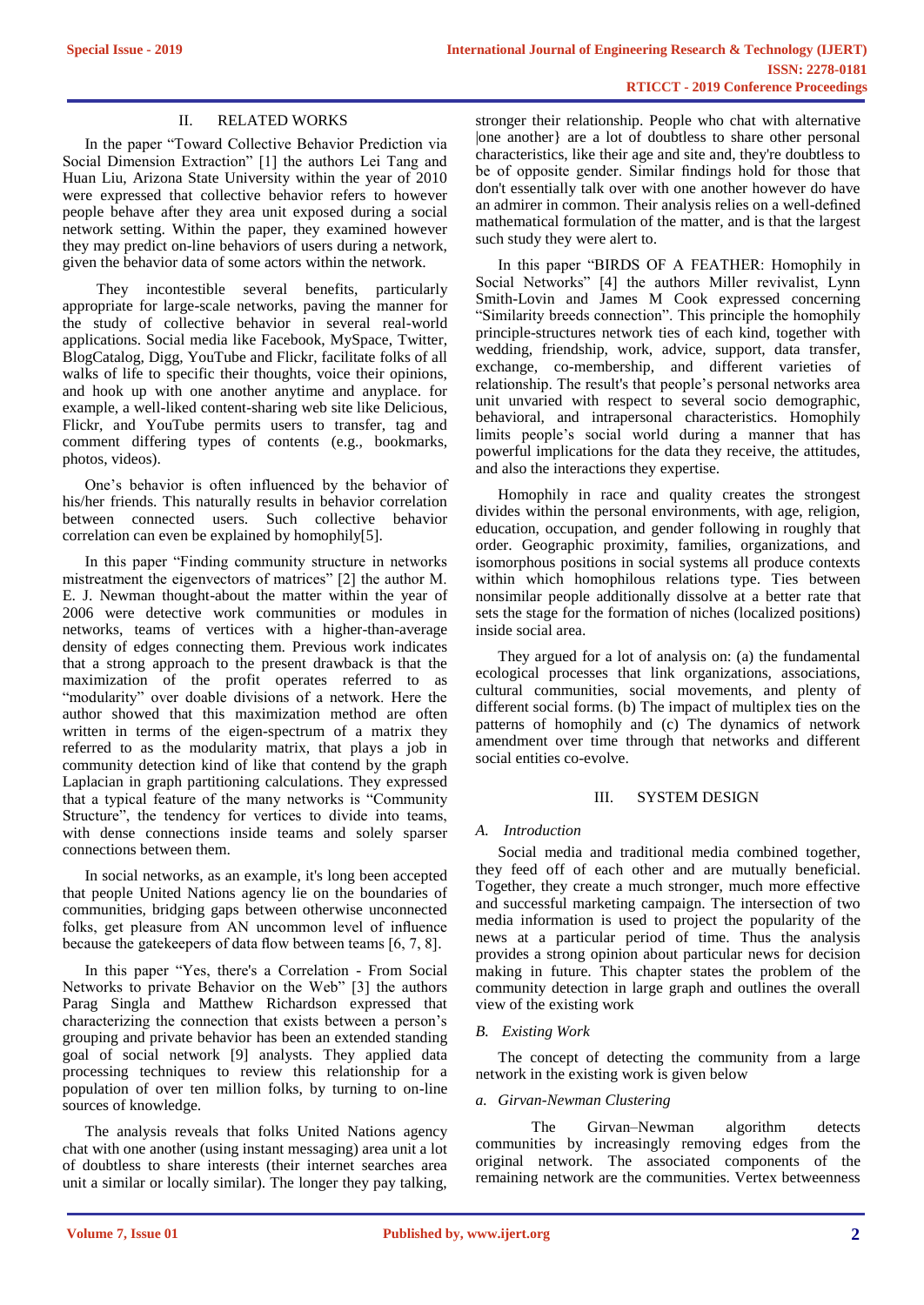## II. RELATED WORKS

In the paper "Toward Collective Behavior Prediction via Social Dimension Extraction" [1] the authors Lei Tang and Huan Liu, Arizona State University within the year of 2010 were expressed that collective behavior refers to however people behave after they area unit exposed during a social network setting. Within the paper, they examined however they may predict on-line behaviors of users during a network, given the behavior data of some actors within the network.

 They incontestible several benefits, particularly appropriate for large-scale networks, paving the manner for the study of collective behavior in several real-world applications. Social media like Facebook, MySpace, Twitter, BlogCatalog, Digg, YouTube and Flickr, facilitate folks of all walks of life to specific their thoughts, voice their opinions, and hook up with one another anytime and anyplace. for example, a well-liked content-sharing web site like Delicious, Flickr, and YouTube permits users to transfer, tag and comment differing types of contents (e.g., bookmarks, photos, videos).

One's behavior is often influenced by the behavior of his/her friends. This naturally results in behavior correlation between connected users. Such collective behavior correlation can even be explained by homophily[5].

In this paper "Finding community structure in networks mistreatment the eigenvectors of matrices" [2] the author M. E. J. Newman thought-about the matter within the year of 2006 were detective work communities or modules in networks, teams of vertices with a higher-than-average density of edges connecting them. Previous work indicates that a strong approach to the present drawback is that the maximization of the profit operates referred to as "modularity" over doable divisions of a network. Here the author showed that this maximization method are often written in terms of the eigen-spectrum of a matrix they referred to as the modularity matrix, that plays a job in community detection kind of like that contend by the graph Laplacian in graph partitioning calculations. They expressed that a typical feature of the many networks is "Community Structure", the tendency for vertices to divide into teams, with dense connections inside teams and solely sparser connections between them.

In social networks, as an example, it's long been accepted that people United Nations agency lie on the boundaries of communities, bridging gaps between otherwise unconnected folks, get pleasure from AN uncommon level of influence because the gatekeepers of data flow between teams [6, 7, 8].

In this paper "Yes, there's a Correlation - From Social Networks to private Behavior on the Web" [3] the authors Parag Singla and Matthew Richardson expressed that characterizing the connection that exists between a person's grouping and private behavior has been an extended standing goal of social network [9] analysts. They applied data processing techniques to review this relationship for a population of over ten million folks, by turning to on-line sources of knowledge.

The analysis reveals that folks United Nations agency chat with one another (using instant messaging) area unit a lot of doubtless to share interests (their internet searches area unit a similar or locally similar). The longer they pay talking,

stronger their relationship. People who chat with alternative |one another} are a lot of doubtless to share other personal characteristics, like their age and site and, they're doubtless to be of opposite gender. Similar findings hold for those that don't essentially talk over with one another however do have an admirer in common. Their analysis relies on a well-defined mathematical formulation of the matter, and is that the largest such study they were alert to.

In this paper "BIRDS OF A FEATHER: Homophily in Social Networks" [4] the authors Miller revivalist, Lynn Smith-Lovin and James M Cook expressed concerning "Similarity breeds connection". This principle the homophily principle-structures network ties of each kind, together with wedding, friendship, work, advice, support, data transfer, exchange, co-membership, and different varieties of relationship. The result's that people's personal networks area unit unvaried with respect to several socio demographic, behavioral, and intrapersonal characteristics. Homophily limits people's social world during a manner that has powerful implications for the data they receive, the attitudes, and also the interactions they expertise.

Homophily in race and quality creates the strongest divides within the personal environments, with age, religion, education, occupation, and gender following in roughly that order. Geographic proximity, families, organizations, and isomorphous positions in social systems all produce contexts within which homophilous relations type. Ties between nonsimilar people additionally dissolve at a better rate that sets the stage for the formation of niches (localized positions) inside social area.

They argued for a lot of analysis on: (a) the fundamental ecological processes that link organizations, associations, cultural communities, social movements, and plenty of different social forms. (b) The impact of multiplex ties on the patterns of homophily and (c) The dynamics of network amendment over time through that networks and different social entities co-evolve.

## III. SYSTEM DESIGN

#### *A. Introduction*

Social media and traditional media combined together, they feed off of each other and are mutually beneficial. Together, they create a much stronger, much more effective and successful marketing campaign. The intersection of two media information is used to project the popularity of the news at a particular period of time. Thus the analysis provides a strong opinion about particular news for decision making in future. This chapter states the problem of the community detection in large graph and outlines the overall view of the existing work

## *B. Existing Work*

The concept of detecting the community from a large network in the existing work is given below

## *a. Girvan-Newman Clustering*

The Girvan–Newman algorithm detects communities by increasingly removing edges from the original network. The associated components of the remaining network are the communities. Vertex betweenness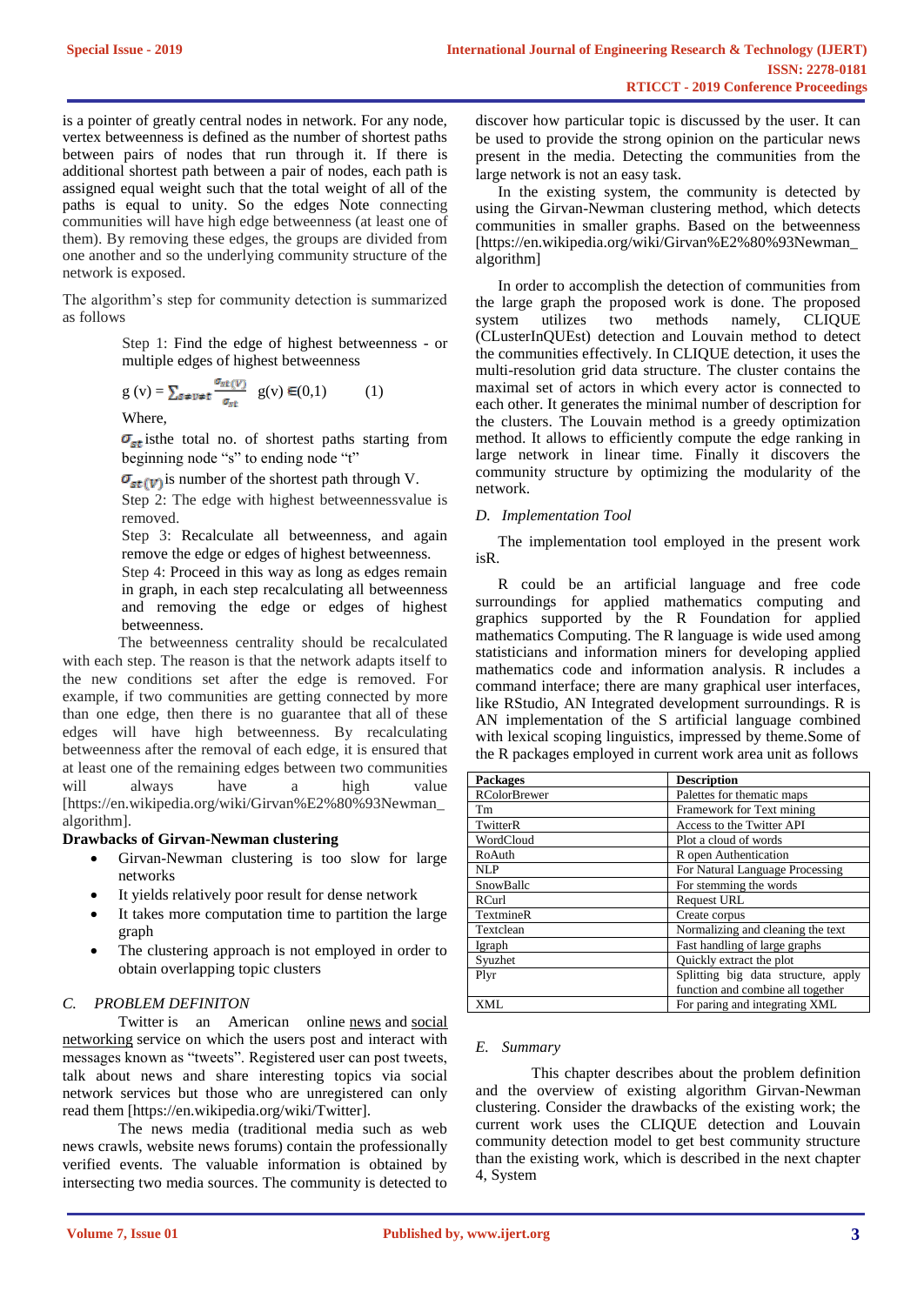is a pointer of greatly central nodes in network. For any node, vertex betweenness is defined as the number of shortest paths between pairs of nodes that run through it. If there is additional shortest path between a pair of nodes, each path is assigned equal weight such that the total weight of all of the paths is equal to unity. So the edges Note connecting communities will have high edge betweenness (at least one of them). By removing these edges, the groups are divided from one another and so the underlying community structure of the network is exposed.

The algorithm's step for community detection is summarized as follows

> Step 1: Find the edge of highest betweenness - or multiple edges of highest betweenness

$$
g(v) = \sum_{s \neq v \neq t} \frac{\sigma_{st}(v)}{\sigma_{st}} g(v) \in (0,1)
$$
 (1)

Where,

 $\sigma_{st}$  is the total no. of shortest paths starting from beginning node "s" to ending node "t"

 $\sigma_{st}(v)$  is number of the shortest path through V.

Step 2: The edge with highest betweennessvalue is removed.

Step 3: Recalculate all betweenness, and again remove the edge or edges of highest betweenness.

Step 4: Proceed in this way as long as edges remain in graph, in each step recalculating all betweenness and removing the edge or edges of highest **betweenness** 

The betweenness centrality should be recalculated with each step. The reason is that the network adapts itself to the new conditions set after the edge is removed. For example, if two communities are getting connected by more than one edge, then there is no guarantee that all of these edges will have high betweenness. By recalculating betweenness after the removal of each edge, it is ensured that at least one of the remaining edges between two communities will always have a high value [https://en.wikipedia.org/wiki/Girvan%E2%80%93Newman\_ algorithm].

#### **Drawbacks of Girvan-Newman clustering**

- Girvan-Newman clustering is too slow for large networks
- It yields relatively poor result for dense network
- It takes more computation time to partition the large graph
- The clustering approach is not employed in order to obtain overlapping topic clusters

## *C. PROBLEM DEFINITON*

Twitter is an American online [news](https://en.wikipedia.org/wiki/News) and social [networking](https://en.wikipedia.org/wiki/Social_networking_service) service on which the users post and interact with messages known as "tweets". Registered user can post tweets, talk about news and share interesting topics via social network services but those who are unregistered can only read them [https://en.wikipedia.org/wiki/Twitter].

The news media (traditional media such as web news crawls, website news forums) contain the professionally verified events. The valuable information is obtained by intersecting two media sources. The community is detected to discover how particular topic is discussed by the user. It can be used to provide the strong opinion on the particular news present in the media. Detecting the communities from the large network is not an easy task.

In the existing system, the community is detected by using the Girvan-Newman clustering method, which detects communities in smaller graphs. Based on the betweenness [https://en.wikipedia.org/wiki/Girvan%E2%80%93Newman\_ algorithm]

In order to accomplish the detection of communities from the large graph the proposed work is done. The proposed system utilizes two methods namely, CLIQUE (CLusterInQUEst) detection and Louvain method to detect the communities effectively. In CLIQUE detection, it uses the multi-resolution grid data structure. The cluster contains the maximal set of actors in which every actor is connected to each other. It generates the minimal number of description for the clusters. The Louvain method is a greedy optimization method. It allows to efficiently compute the edge ranking in large network in linear time. Finally it discovers the community structure by optimizing the modularity of the network.

#### *D. Implementation Tool*

The implementation tool employed in the present work isR.

R could be an artificial language and free code surroundings for applied mathematics computing and graphics supported by the R Foundation for applied mathematics Computing. The R language is wide used among statisticians and information miners for developing applied mathematics code and information analysis. R includes a command interface; there are many graphical user interfaces, like RStudio, AN Integrated development surroundings. R is AN implementation of the S artificial language combined with lexical scoping linguistics, impressed by theme.Some of the R packages employed in current work area unit as follows

| <b>Packages</b>     | <b>Description</b>                  |  |
|---------------------|-------------------------------------|--|
| <b>RColorBrewer</b> | Palettes for thematic maps          |  |
| Tm                  | Framework for Text mining           |  |
| TwitterR            | Access to the Twitter API           |  |
| WordCloud           | Plot a cloud of words               |  |
| RoAuth              | R open Authentication               |  |
| NI.P                | For Natural Language Processing     |  |
| SnowBallc           | For stemming the words              |  |
| <b>RCurl</b>        | <b>Request URL</b>                  |  |
| TextmineR           | Create corpus                       |  |
| Textclean           | Normalizing and cleaning the text   |  |
| Igraph              | Fast handling of large graphs       |  |
| Syuzhet             | Quickly extract the plot            |  |
| Plyr                | Splitting big data structure, apply |  |
|                     | function and combine all together   |  |
| XML                 | For paring and integrating XML      |  |

#### *E. Summary*

This chapter describes about the problem definition and the overview of existing algorithm Girvan-Newman clustering. Consider the drawbacks of the existing work; the current work uses the CLIQUE detection and Louvain community detection model to get best community structure than the existing work, which is described in the next chapter 4, System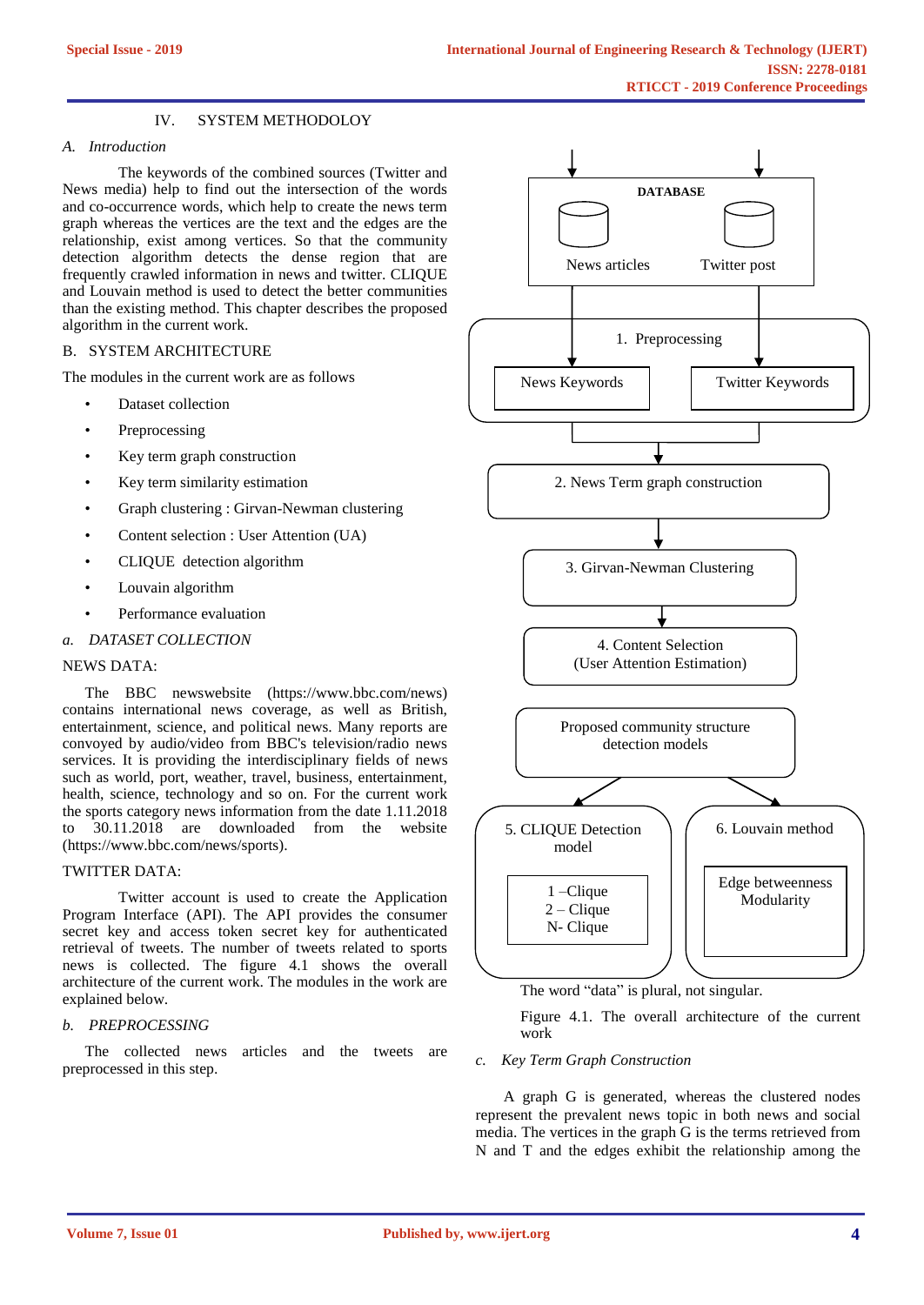## IV. SYSTEM METHODOLOY

## *A. Introduction*

The keywords of the combined sources (Twitter and News media) help to find out the intersection of the words and co-occurrence words, which help to create the news term graph whereas the vertices are the text and the edges are the relationship, exist among vertices. So that the community detection algorithm detects the dense region that are frequently crawled information in news and twitter. CLIQUE and Louvain method is used to detect the better communities than the existing method. This chapter describes the proposed algorithm in the current work.

## B. SYSTEM ARCHITECTURE

The modules in the current work are as follows

- Dataset collection
- **Preprocessing**
- Key term graph construction
- Key term similarity estimation
- Graph clustering : Girvan-Newman clustering
- Content selection : User Attention (UA)
- CLIQUE detection algorithm
- Louvain algorithm
- Performance evaluation

## *a. DATASET COLLECTION*

## NEWS DATA:

The BBC newswebsite (https://www.bbc.com/news) contains international news coverage, as well as British, entertainment, science, and political news. Many reports are convoyed by audio/video from BBC's television/radio news services. It is providing the interdisciplinary fields of news such as world, port, weather, travel, business, entertainment, health, science, technology and so on. For the current work the sports category news information from the date 1.11.2018 to 30.11.2018 are downloaded from the website (https://www.bbc.com/news/sports).

## TWITTER DATA:

Twitter account is used to create the Application Program Interface (API). The API provides the consumer secret key and access token secret key for authenticated retrieval of tweets. The number of tweets related to sports news is collected. The figure 4.1 shows the overall architecture of the current work. The modules in the work are explained below.

## *b. PREPROCESSING*

The collected news articles and the tweets are preprocessed in this step.



The word "data" is plural, not singular.

Figure 4.1. The overall architecture of the current work

#### *c. Key Term Graph Construction*

A graph G is generated, whereas the clustered nodes represent the prevalent news topic in both news and social media. The vertices in the graph G is the terms retrieved from N and T and the edges exhibit the relationship among the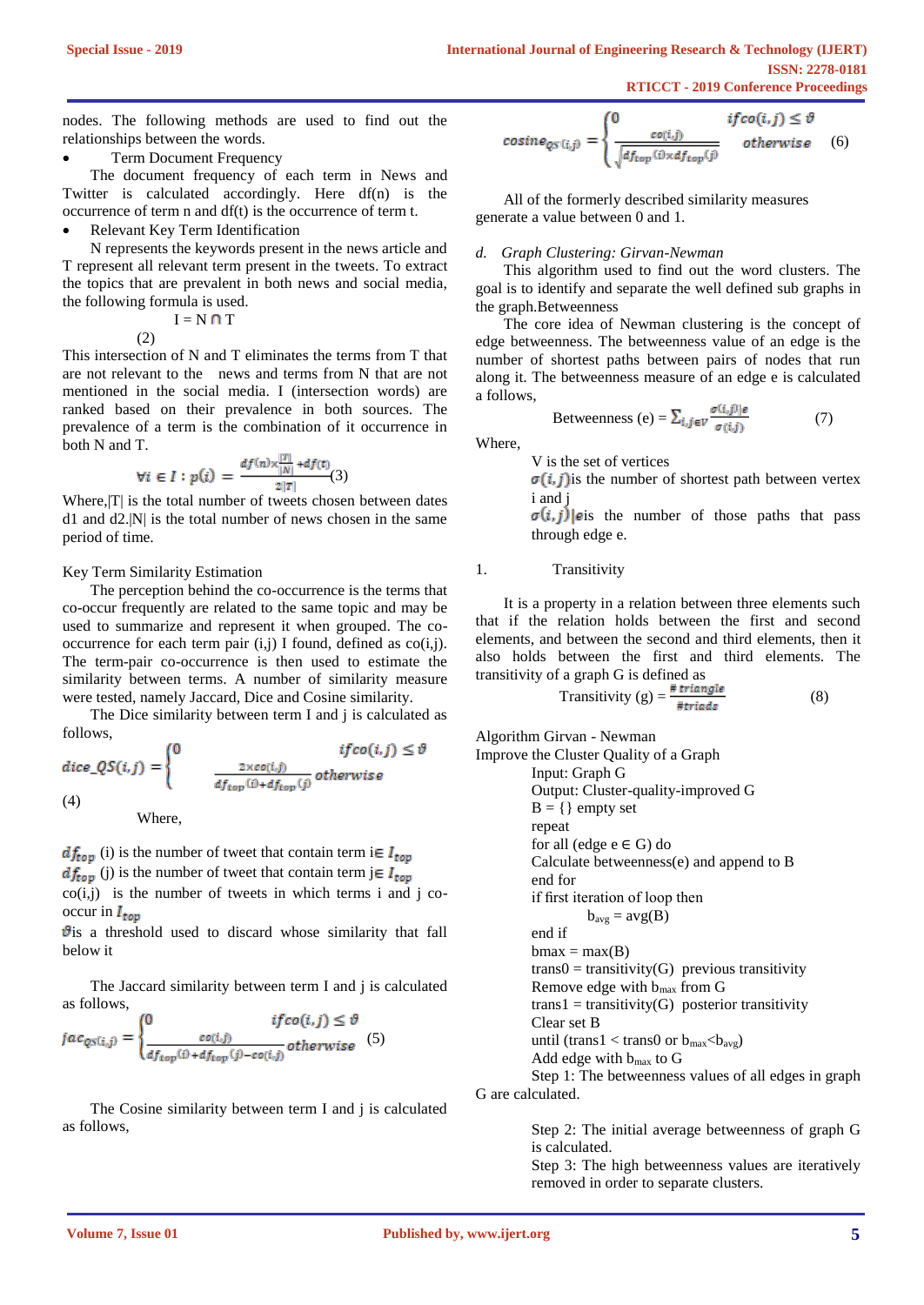nodes. The following methods are used to find out the relationships between the words.

## Term Document Frequency

The document frequency of each term in News and Twitter is calculated accordingly. Here df(n) is the occurrence of term n and df(t) is the occurrence of term t.

• Relevant Key Term Identification

 $I = N \cap T$ 

N represents the keywords present in the news article and T represent all relevant term present in the tweets. To extract the topics that are prevalent in both news and social media, the following formula is used.

(2)

This intersection of N and T eliminates the terms from T that are not relevant to the news and terms from N that are not mentioned in the social media. I (intersection words) are ranked based on their prevalence in both sources. The prevalence of a term is the combination of it occurrence in both N and T.

$$
\forall i \in I : p(i) = \frac{df(n) \times \frac{|T|}{|N|} + df(t)}{2|T|} (3)
$$

Where,  $|T|$  is the total number of tweets chosen between dates d1 and d2.|N| is the total number of news chosen in the same period of time.

#### Key Term Similarity Estimation

The perception behind the co-occurrence is the terms that co-occur frequently are related to the same topic and may be used to summarize and represent it when grouped. The cooccurrence for each term pair  $(i,j)$  I found, defined as  $co(i,j)$ . The term-pair co-occurrence is then used to estimate the similarity between terms. A number of similarity measure were tested, namely Jaccard, Dice and Cosine similarity.

The Dice similarity between term I and j is calculated as follows,

$$
dice_QS(i,j) = \begin{cases} 0 & ifco(i,j) \le \vartheta \\ \frac{2 \times co(i,j)}{df_{top}(i) + df_{top}(j)} \text{ otherwise} \end{cases}
$$
  
(4)

Where,

 $df_{top}$  (i) is the number of tweet that contain term i $\in I_{top}$  $df_{\text{top}}$  (j) is the number of tweet that contain term j $\in I_{\text{top}}$  $co(i,j)$  is the number of tweets in which terms i and j cooccur in  $I_{\text{top}}$ 

 $\mathbf{\hat{v}}$  is a threshold used to discard whose similarity that fall below it

The Jaccard similarity between term I and j is calculated as follows,

$$
jac_{qS(i,j)} = \begin{cases} 0 & if co(i,j) \le \vartheta \\ \frac{co(i,j)}{df_{top}(i) + df_{top}(j) - co(i,j)} \text{otherwise} \end{cases}
$$
(5)

The Cosine similarity between term I and j is calculated as follows,

$$
cosine_{QS(i,j)} = \begin{cases} 0 & if co(i,j) \le \vartheta \\ \frac{co(i,j)}{\sqrt{df_{top}(i) \times df_{top}(j)}} & otherwise \end{cases}
$$
 (6)

All of the formerly described similarity measures generate a value between 0 and 1.

#### *d. Graph Clustering: Girvan-Newman*

This algorithm used to find out the word clusters. The goal is to identify and separate the well defined sub graphs in the graph.Betweenness

The core idea of Newman clustering is the concept of edge betweenness. The betweenness value of an edge is the number of shortest paths between pairs of nodes that run along it. The betweenness measure of an edge e is calculated a follows,

$$
Betweenness (e) = \sum_{i,j \in V} \frac{\sigma(i,j)|e}{\sigma(i,j)} \tag{7}
$$

Where,

V is the set of vertices

 $\sigma(i, j)$  is the number of shortest path between vertex i and j

 $\sigma(i, j)$  eis the number of those paths that pass through edge e.

## 1. Transitivity

It is a property in a relation between three elements such that if the relation holds between the first and second elements, and between the second and third elements, then it also holds between the first and third elements. The transitivity of a graph G is defined as

Transitivity (g) = 
$$
\frac{\text{# triangle}}{\text{#trials}}
$$
 (8)

Algorithm Girvan - Newman

```
Improve the Cluster Quality of a Graph
         Input: Graph G 
         Output: Cluster-quality-improved G 
         B = \{\} empty set
         repeat
         for all (edge e \in G) do
         Calculate betweenness(e) and append to B 
         end for 
         if first iteration of loop then 
                  b_{avg} = avg(B)end if
         bmax = max(B)trans0 = transitivity(G) previous transitivity
         Remove edge with bmax from G 
         trans1 = transitivity(G) posterior transitivityClear set B 
         until (trans1 < trans0 or b_{max} < b_{avg})
         Add edge with bmax to G
         Step 1: The betweenness values of all edges in graph 
G are calculated.
```
Step 2: The initial average betweenness of graph G is calculated.

Step 3: The high betweenness values are iteratively removed in order to separate clusters.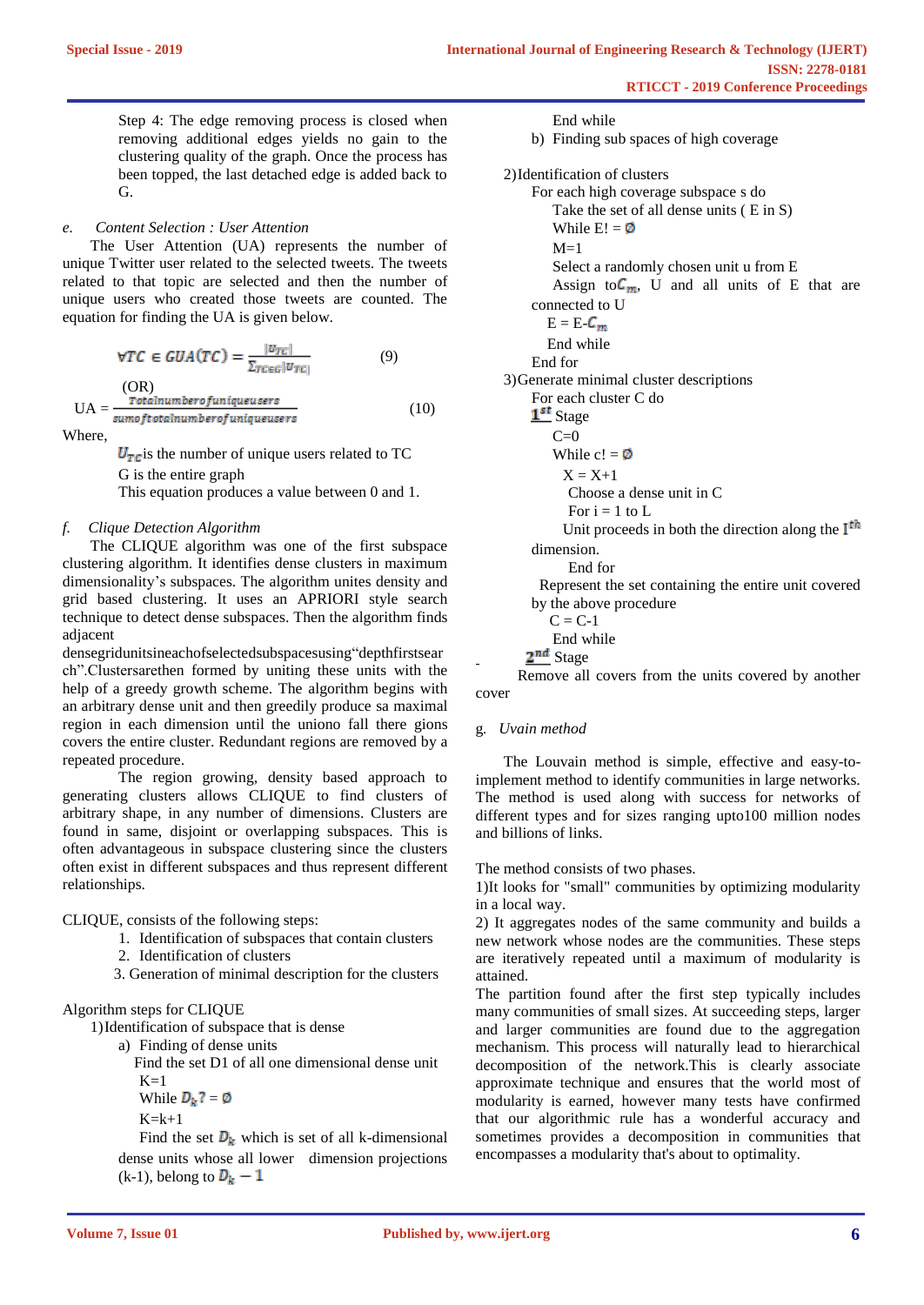Step 4: The edge removing process is closed when removing additional edges yields no gain to the clustering quality of the graph. Once the process has been topped, the last detached edge is added back to G.

## *e. Content Selection : User Attention*

The User Attention (UA) represents the number of unique Twitter user related to the selected tweets. The tweets related to that topic are selected and then the number of unique users who created those tweets are counted. The equation for finding the UA is given below.

$$
\forall TC \in GUA(TC) = \frac{|v_{TC}|}{\sum_{TC \in G} |v_{TC}|} \tag{9}
$$

(OR)  $UA = \frac{1000 \text{ m} \cdot \text{m} \cdot \text{m} \cdot \text{m} \cdot \text{m} \cdot \text{m} \cdot \text{m}}{0.000 \text{ m} \cdot \text{m} \cdot \text{m} \cdot \text{m} \cdot \text{m} \cdot \text{m} \cdot \text{m} \cdot \text{m} \cdot \text{m}}$  (10)

Where,

 $U_{TC}$  is the number of unique users related to TC G is the entire graph This equation produces a value between 0 and 1.

#### *f. Clique Detection Algorithm*

The CLIQUE algorithm was one of the first subspace clustering algorithm. It identifies dense clusters in maximum dimensionality's subspaces. The algorithm unites density and grid based clustering. It uses an APRIORI style search technique to detect dense subspaces. Then the algorithm finds adjacent

densegridunitsineachofselectedsubspacesusing"depthfirstsear ch".Clustersarethen formed by uniting these units with the help of a greedy growth scheme. The algorithm begins with an arbitrary dense unit and then greedily produce sa maximal region in each dimension until the uniono fall there gions covers the entire cluster. Redundant regions are removed by a repeated procedure.

The region growing, density based approach to generating clusters allows CLIQUE to find clusters of arbitrary shape, in any number of dimensions. Clusters are found in same, disjoint or overlapping subspaces. This is often advantageous in subspace clustering since the clusters often exist in different subspaces and thus represent different relationships.

CLIQUE, consists of the following steps:

- 1. Identification of subspaces that contain clusters
- 2. Identification of clusters
- 3. Generation of minimal description for the clusters

Algorithm steps for CLIQUE

- 1)Identification of subspace that is dense
	- a) Finding of dense units

 Find the set D1 of all one dimensional dense unit  $K=1$ 

While  $D_k$ ? = Ø

 $K=k+1$ 

Find the set  $D_k$  which is set of all k-dimensional dense units whose all lower dimension projections (k-1), belong to  $D_k - 1$ 

End while b) Finding sub spaces of high coverage 2)Identification of clusters For each high coverage subspace s do Take the set of all dense units ( E in S) While  $E! = \emptyset$  $M=1$ Select a randomly chosen unit u from E Assign to  $C_m$ , U and all units of E that are connected to U  $E = E - C_m$  End while End for 3)Generate minimal cluster descriptions For each cluster C do 1st Stage  $C=0$ While  $c! = \emptyset$  $X - X + 1$  Choose a dense unit in C For  $i = 1$  to L Unit proceeds in both the direction along the  $I<sup>th</sup>$ dimension. End for Represent the set containing the entire unit covered by the above procedure

- $C = C-1$
- End while

 $2^{nd}$  Stage

Remove all covers from the units covered by another cover

g*. Uvain method*

The Louvain method is simple, effective and easy-toimplement method to identify communities in large networks. The method is used along with success for networks of different types and for sizes ranging upto100 million nodes and billions of links.

The method consists of two phases.

1)It looks for "small" communities by optimizing modularity in a local way.

2) It aggregates nodes of the same community and builds a new network whose nodes are the communities. These steps are iteratively repeated until a maximum of modularity is attained.

The partition found after the first step typically includes many communities of small sizes. At succeeding steps, larger and larger communities are found due to the aggregation mechanism. This process will naturally lead to hierarchical decomposition of the network.This is clearly associate approximate technique and ensures that the world most of modularity is earned, however many tests have confirmed that our algorithmic rule has a wonderful accuracy and sometimes provides a decomposition in communities that encompasses a modularity that's about to optimality.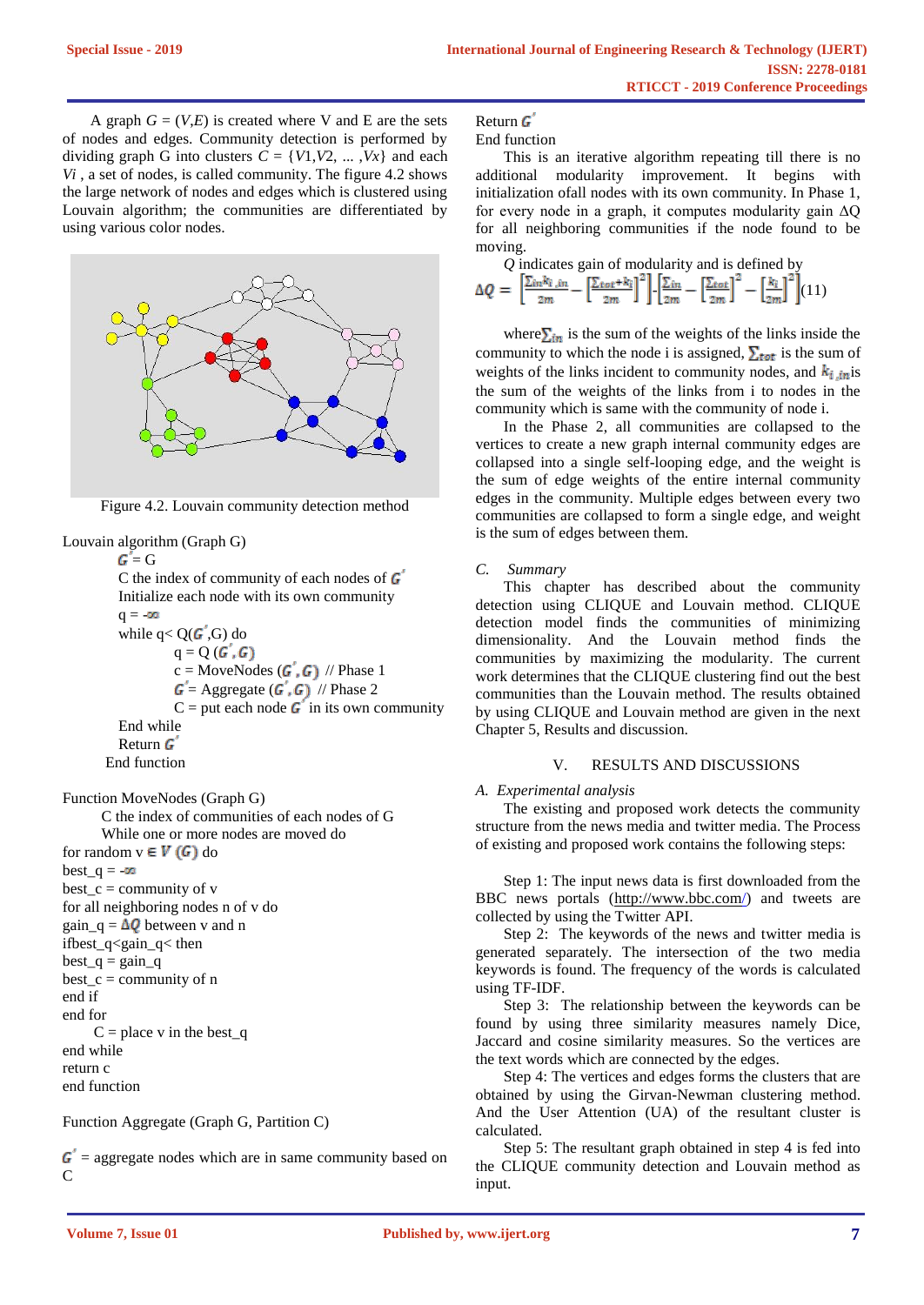A graph  $G = (V,E)$  is created where V and E are the sets of nodes and edges. Community detection is performed by dividing graph G into clusters  $C = \{V1, V2, \dots, Vx\}$  and each *Vi* , a set of nodes, is called community. The figure 4.2 shows the large network of nodes and edges which is clustered using Louvain algorithm; the communities are differentiated by using various color nodes.



Figure 4.2. Louvain community detection method

```
Louvain algorithm (Graph G)
```
 $G = G$ C the index of community of each nodes of  $\boldsymbol{G}$ Initialize each node with its own community  $q = -\infty$ while  $q < Q(\mathbf{G}', \mathbf{G})$  do  $q = Q(G', G)$  $c = \text{MoveNodes}(\boldsymbol{G}', \boldsymbol{G})$  // Phase 1  $G' = \text{Aggregate}$   $(G', G)$  // Phase 2  $C =$  put each node  $\boldsymbol{G}'$  in its own community End while Return G End function

Function MoveNodes (Graph G)

```
 C the index of communities of each nodes of G
```
While one or more nodes are moved do

for random  $v \in V(G)$  do  $best_q = -\infty$  $best_c = community of v$ for all neighboring nodes n of v do gain  $q = \Delta Q$  between v and n ifbest  $q <$ gain  $q <$  then  $best_q = gain_q$ best  $c =$  community of n end if end for  $C =$  place v in the best\_q end while return c end function

Function Aggregate (Graph G, Partition C)

 $\boldsymbol{G}$  = aggregate nodes which are in same community based on C

## Return G

End function

This is an iterative algorithm repeating till there is no additional modularity improvement. It begins with initialization ofall nodes with its own community. In Phase 1, for every node in a graph, it computes modularity gain  $\Delta Q$ for all neighboring communities if the node found to be moving.

*Q* indicates gain of modularity and is defined by  
\n
$$
\Delta Q = \left[ \frac{\sum_{in} k_i}{2m} - \left[ \frac{\sum_{tot} + k_i}{2m} \right]^2 \right] \cdot \left[ \frac{\sum_{in}}{2m} - \left[ \frac{\sum_{tot}}{2m} \right]^2 - \left[ \frac{k_i}{2m} \right]^2 \right] (11)
$$

where  $\sum_{i}$  is the sum of the weights of the links inside the community to which the node i is assigned,  $\Sigma_{\text{tot}}$  is the sum of weights of the links incident to community nodes, and  $k_{i,in}$  is the sum of the weights of the links from i to nodes in the community which is same with the community of node i.

In the Phase 2, all communities are collapsed to the vertices to create a new graph internal community edges are collapsed into a single self-looping edge, and the weight is the sum of edge weights of the entire internal community edges in the community. Multiple edges between every two communities are collapsed to form a single edge, and weight is the sum of edges between them.

## *C. Summary*

This chapter has described about the community detection using CLIQUE and Louvain method. CLIQUE detection model finds the communities of minimizing dimensionality. And the Louvain method finds the communities by maximizing the modularity. The current work determines that the CLIQUE clustering find out the best communities than the Louvain method. The results obtained by using CLIQUE and Louvain method are given in the next Chapter 5, Results and discussion.

## V. RESULTS AND DISCUSSIONS

*A. Experimental analysis* 

The existing and proposed work detects the community structure from the news media and twitter media. The Process of existing and proposed work contains the following steps:

Step 1: The input news data is first downloaded from the BBC news portals [\(http://www.bbc.com/\)](http://www.bbc.com/) and tweets are collected by using the Twitter API.

Step 2: The keywords of the news and twitter media is generated separately. The intersection of the two media keywords is found. The frequency of the words is calculated using TF-IDF.

Step 3: The relationship between the keywords can be found by using three similarity measures namely Dice, Jaccard and cosine similarity measures. So the vertices are the text words which are connected by the edges.

Step 4: The vertices and edges forms the clusters that are obtained by using the Girvan-Newman clustering method. And the User Attention (UA) of the resultant cluster is calculated.

Step 5: The resultant graph obtained in step 4 is fed into the CLIQUE community detection and Louvain method as input.